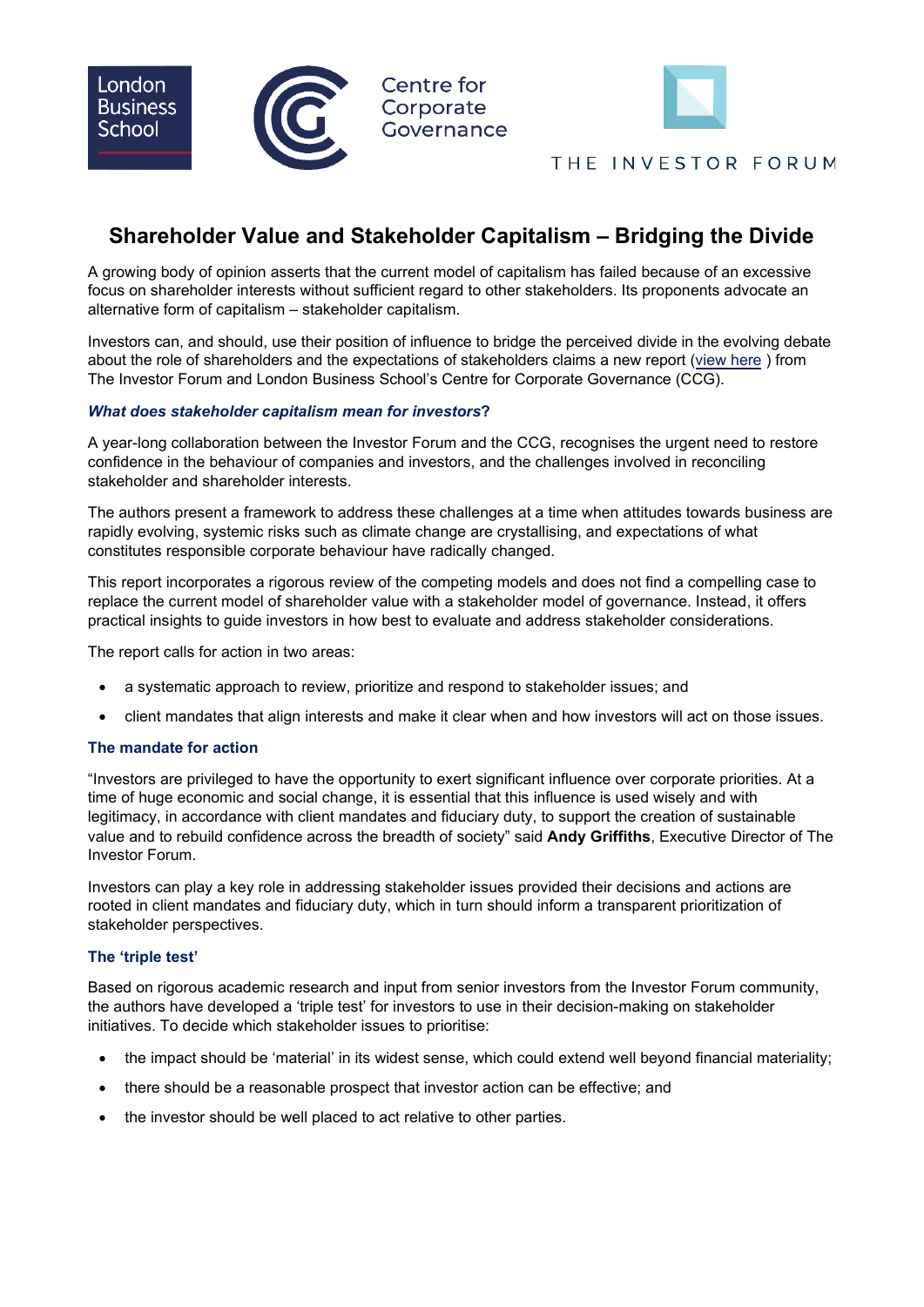



## THE INVESTOR FORUM

# **Shareholder Value and Stakeholder Capitalism – Bridging the Divide**

A growing body of opinion asserts that the current model of capitalism has failed because of an excessive focus on shareholder interests without sufficient regard to other stakeholders. Its proponents advocate an alternative form of capitalism – stakeholder capitalism.

Investors can, and should, use their position of influence to bridge the perceived divide in the evolving debate about the role of shareholders and the expectations of stakeholders claims a new report ([view here](https://www.investorforum.org.uk/wp-content/uploads/securepdfs/2022/05/Stakeholder_Capitalism-report.pdf) ) from The Investor Forum and London Business School's Centre for Corporate Governance (CCG).

## *What does stakeholder capitalism mean for investors***?**

A year-long collaboration between the Investor Forum and the CCG, recognises the urgent need to restore confidence in the behaviour of companies and investors, and the challenges involved in reconciling stakeholder and shareholder interests.

The authors present a framework to address these challenges at a time when attitudes towards business are rapidly evolving, systemic risks such as climate change are crystallising, and expectations of what constitutes responsible corporate behaviour have radically changed.

This report incorporates a rigorous review of the competing models and does not find a compelling case to replace the current model of shareholder value with a stakeholder model of governance. Instead, it offers practical insights to guide investors in how best to evaluate and address stakeholder considerations.

The report calls for action in two areas:

- a systematic approach to review, prioritize and respond to stakeholder issues; and
- client mandates that align interests and make it clear when and how investors will act on those issues.

#### **The mandate for action**

"Investors are privileged to have the opportunity to exert significant influence over corporate priorities. At a time of huge economic and social change, it is essential that this influence is used wisely and with legitimacy, in accordance with client mandates and fiduciary duty, to support the creation of sustainable value and to rebuild confidence across the breadth of society" said **Andy Griffiths**, Executive Director of The Investor Forum.

Investors can play a key role in addressing stakeholder issues provided their decisions and actions are rooted in client mandates and fiduciary duty, which in turn should inform a transparent prioritization of stakeholder perspectives.

## **The 'triple test'**

Based on rigorous academic research and input from senior investors from the Investor Forum community, the authors have developed a 'triple test' for investors to use in their decision-making on stakeholder initiatives. To decide which stakeholder issues to prioritise:

- the impact should be 'material' in its widest sense, which could extend well beyond financial materiality;
- there should be a reasonable prospect that investor action can be effective; and
- the investor should be well placed to act relative to other parties.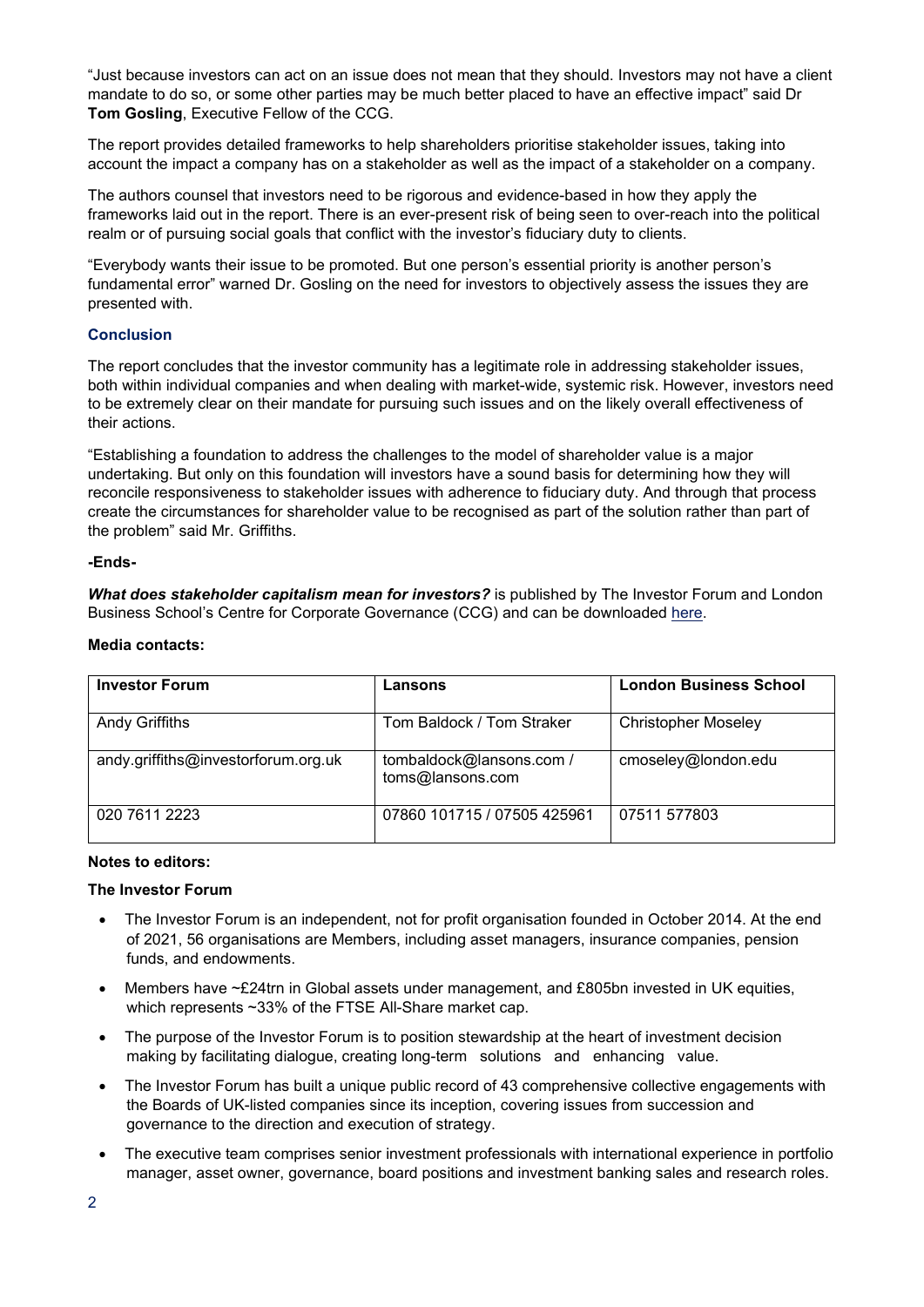"Just because investors can act on an issue does not mean that they should. Investors may not have a client mandate to do so, or some other parties may be much better placed to have an effective impact" said Dr **Tom Gosling**, Executive Fellow of the CCG.

The report provides detailed frameworks to help shareholders prioritise stakeholder issues, taking into account the impact a company has on a stakeholder as well as the impact of a stakeholder on a company.

The authors counsel that investors need to be rigorous and evidence-based in how they apply the frameworks laid out in the report. There is an ever-present risk of being seen to over-reach into the political realm or of pursuing social goals that conflict with the investor's fiduciary duty to clients.

"Everybody wants their issue to be promoted. But one person's essential priority is another person's fundamental error" warned Dr. Gosling on the need for investors to objectively assess the issues they are presented with.

## **Conclusion**

The report concludes that the investor community has a legitimate role in addressing stakeholder issues, both within individual companies and when dealing with market-wide, systemic risk. However, investors need to be extremely clear on their mandate for pursuing such issues and on the likely overall effectiveness of their actions.

"Establishing a foundation to address the challenges to the model of shareholder value is a major undertaking. But only on this foundation will investors have a sound basis for determining how they will reconcile responsiveness to stakeholder issues with adherence to fiduciary duty. And through that process create the circumstances for shareholder value to be recognised as part of the solution rather than part of the problem" said Mr. Griffiths.

#### **-Ends-**

*What does stakeholder capitalism mean for investors?* is published by The Investor Forum and London Business School's Centre for Corporate Governance (CCG) and can be downloaded [here.](https://www.investorforum.org.uk/wp-content/uploads/securepdfs/2022/05/Stakeholder_Capitalism-report.pdf)

#### **Media contacts:**

| <b>Investor Forum</b>               | Lansons                                      | <b>London Business School</b> |
|-------------------------------------|----------------------------------------------|-------------------------------|
| <b>Andy Griffiths</b>               | Tom Baldock / Tom Straker                    | <b>Christopher Moseley</b>    |
| andy.griffiths@investorforum.org.uk | tombaldock@lansons.com /<br>toms@lansons.com | cmoseley@london.edu           |
| 020 7611 2223                       | 07860 101715 / 07505 425961                  | 07511 577803                  |

#### **Notes to editors:**

#### **The Investor Forum**

- The Investor Forum is an independent, not for profit organisation founded in October 2014. At the end of 2021, 56 organisations are Members, including asset managers, insurance companies, pension funds, and endowments.
- Members have ~£24trn in Global assets under management, and £805bn invested in UK equities, which represents ~33% of the FTSE All-Share market cap.
- The purpose of the Investor Forum is to position stewardship at the heart of investment decision making by facilitating dialogue, creating long-term solutions and enhancing value.
- The Investor Forum has built a unique public record of 43 comprehensive collective engagements with the Boards of UK-listed companies since its inception, covering issues from succession and governance to the direction and execution of strategy.
- The executive team comprises senior investment professionals with international experience in portfolio manager, asset owner, governance, board positions and investment banking sales and research roles.